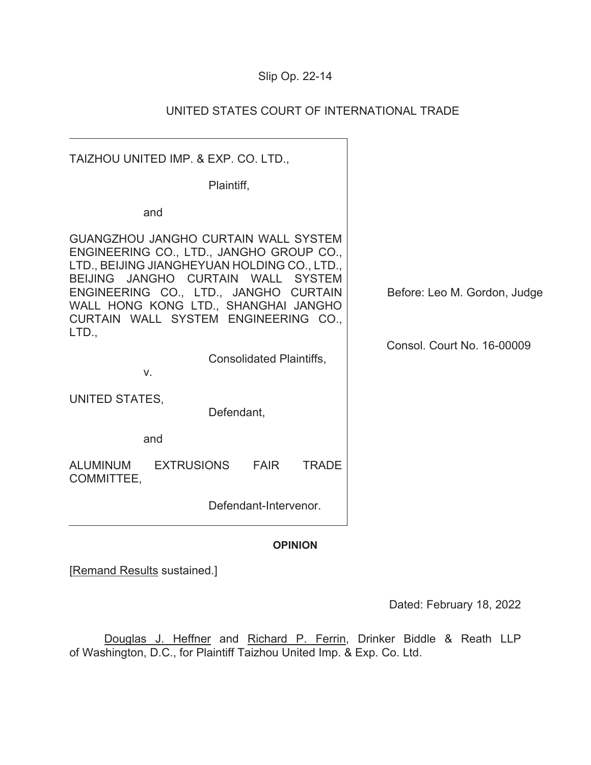# Slip Op. 22-14

## UNITED STATES COURT OF INTERNATIONAL TRADE

 $\overline{\phantom{a}}$ 

| TAIZHOU UNITED IMP. & EXP. CO. LTD.,                                                                                                                                                                                                                                                                           |                              |
|----------------------------------------------------------------------------------------------------------------------------------------------------------------------------------------------------------------------------------------------------------------------------------------------------------------|------------------------------|
| Plaintiff,                                                                                                                                                                                                                                                                                                     |                              |
| and                                                                                                                                                                                                                                                                                                            |                              |
| <b>GUANGZHOU JANGHO CURTAIN WALL SYSTEM</b><br>ENGINEERING CO., LTD., JANGHO GROUP CO.,<br>LTD., BEIJING JIANGHEYUAN HOLDING CO., LTD.,<br>BEIJING JANGHO CURTAIN WALL SYSTEM<br>ENGINEERING CO., LTD., JANGHO CURTAIN<br>WALL HONG KONG LTD., SHANGHAI JANGHO<br>CURTAIN WALL SYSTEM ENGINEERING CO.,<br>LTD. | Before: Leo M. Gordon, Judge |
| Consolidated Plaintiffs,<br>V.                                                                                                                                                                                                                                                                                 | Consol. Court No. 16-00009   |
| UNITED STATES,<br>Defendant,<br>and                                                                                                                                                                                                                                                                            |                              |
| <b>ALUMINUM</b><br><b>EXTRUSIONS</b><br><b>TRADE</b><br><b>FAIR</b>                                                                                                                                                                                                                                            |                              |
| COMMITTEE,                                                                                                                                                                                                                                                                                                     |                              |
| Defendant-Intervenor.                                                                                                                                                                                                                                                                                          |                              |
| <b>OPINION</b>                                                                                                                                                                                                                                                                                                 |                              |

[Remand Results sustained.]

Dated: February 18, 2022

Douglas J. Heffner and Richard P. Ferrin, Drinker Biddle & Reath LLP of Washington, D.C., for Plaintiff Taizhou United Imp. & Exp. Co. Ltd.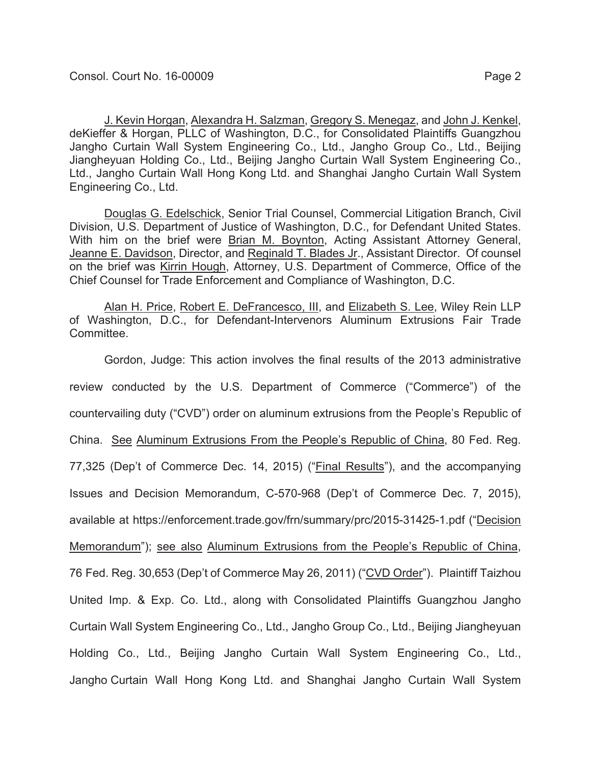J. Kevin Horgan, Alexandra H. Salzman, Gregory S. Menegaz, and John J. Kenkel, deKieffer & Horgan, PLLC of Washington, D.C., for Consolidated Plaintiffs Guangzhou

Jangho Curtain Wall System Engineering Co., Ltd., Jangho Group Co., Ltd., Beijing Jiangheyuan Holding Co., Ltd., Beijing Jangho Curtain Wall System Engineering Co., Ltd., Jangho Curtain Wall Hong Kong Ltd. and Shanghai Jangho Curtain Wall System Engineering Co., Ltd.

Douglas G. Edelschick, Senior Trial Counsel, Commercial Litigation Branch, Civil Division, U.S. Department of Justice of Washington, D.C., for Defendant United States. With him on the brief were Brian M. Boynton, Acting Assistant Attorney General, Jeanne E. Davidson, Director, and Reginald T. Blades Jr., Assistant Director. Of counsel on the brief was Kirrin Hough, Attorney, U.S. Department of Commerce, Office of the Chief Counsel for Trade Enforcement and Compliance of Washington, D.C.

Alan H. Price, Robert E. DeFrancesco, III, and Elizabeth S. Lee, Wiley Rein LLP of Washington, D.C., for Defendant-Intervenors Aluminum Extrusions Fair Trade Committee.

Gordon, Judge: This action involves the final results of the 2013 administrative review conducted by the U.S. Department of Commerce ("Commerce") of the countervailing duty ("CVD") order on aluminum extrusions from the People's Republic of China. See Aluminum Extrusions From the People's Republic of China, 80 Fed. Reg. 77,325 (Dep't of Commerce Dec. 14, 2015) ("Final Results"), and the accompanying Issues and Decision Memorandum, C-570-968 (Dep't of Commerce Dec. 7, 2015), available at https://enforcement.trade.gov/frn/summary/prc/2015-31425-1.pdf ("Decision Memorandum"); see also Aluminum Extrusions from the People's Republic of China, 76 Fed. Reg. 30,653 (Dep't of Commerce May 26, 2011) ("CVD Order"). Plaintiff Taizhou United Imp. & Exp. Co. Ltd., along with Consolidated Plaintiffs Guangzhou Jangho Curtain Wall System Engineering Co., Ltd., Jangho Group Co., Ltd., Beijing Jiangheyuan Holding Co., Ltd., Beijing Jangho Curtain Wall System Engineering Co., Ltd., Jangho Curtain Wall Hong Kong Ltd. and Shanghai Jangho Curtain Wall System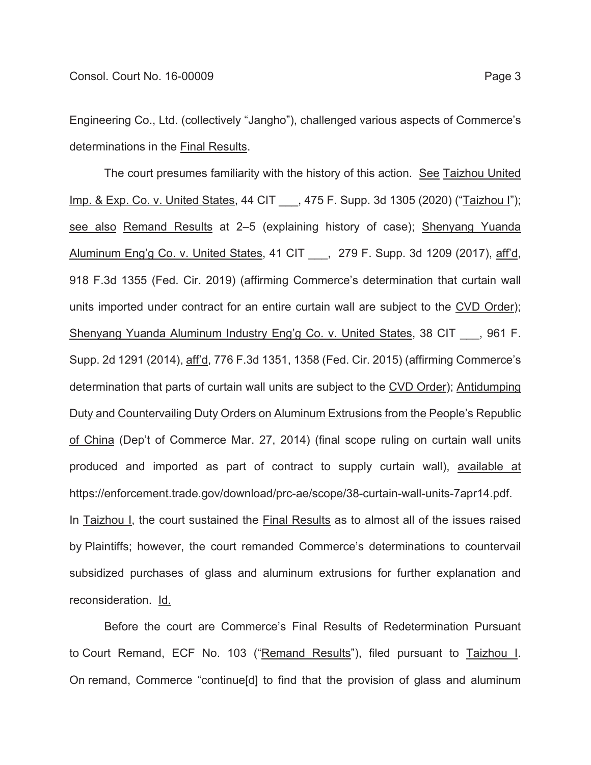Engineering Co., Ltd. (collectively "Jangho"), challenged various aspects of Commerce's determinations in the Final Results.

The court presumes familiarity with the history of this action. See Taizhou United Imp. & Exp. Co. v. United States, 44 CIT \_\_\_, 475 F. Supp. 3d 1305 (2020) ("Taizhou I"); see also Remand Results at 2–5 (explaining history of case); Shenyang Yuanda Aluminum Eng'g Co. v. United States, 41 CIT . 279 F. Supp. 3d 1209 (2017), aff'd, 918 F.3d 1355 (Fed. Cir. 2019) (affirming Commerce's determination that curtain wall units imported under contract for an entire curtain wall are subject to the CVD Order); Shenyang Yuanda Aluminum Industry Eng'g Co. v. United States, 38 CIT . 961 F. Supp. 2d 1291 (2014), aff'd, 776 F.3d 1351, 1358 (Fed. Cir. 2015) (affirming Commerce's determination that parts of curtain wall units are subject to the CVD Order); Antidumping Duty and Countervailing Duty Orders on Aluminum Extrusions from the People's Republic of China (Dep't of Commerce Mar. 27, 2014) (final scope ruling on curtain wall units produced and imported as part of contract to supply curtain wall), available at https://enforcement.trade.gov/download/prc-ae/scope/38-curtain-wall-units-7apr14.pdf. In Taizhou I, the court sustained the Final Results as to almost all of the issues raised by Plaintiffs; however, the court remanded Commerce's determinations to countervail subsidized purchases of glass and aluminum extrusions for further explanation and reconsideration. Id.

Before the court are Commerce's Final Results of Redetermination Pursuant to Court Remand, ECF No. 103 ("Remand Results"), filed pursuant to Taizhou I. On remand, Commerce "continue[d] to find that the provision of glass and aluminum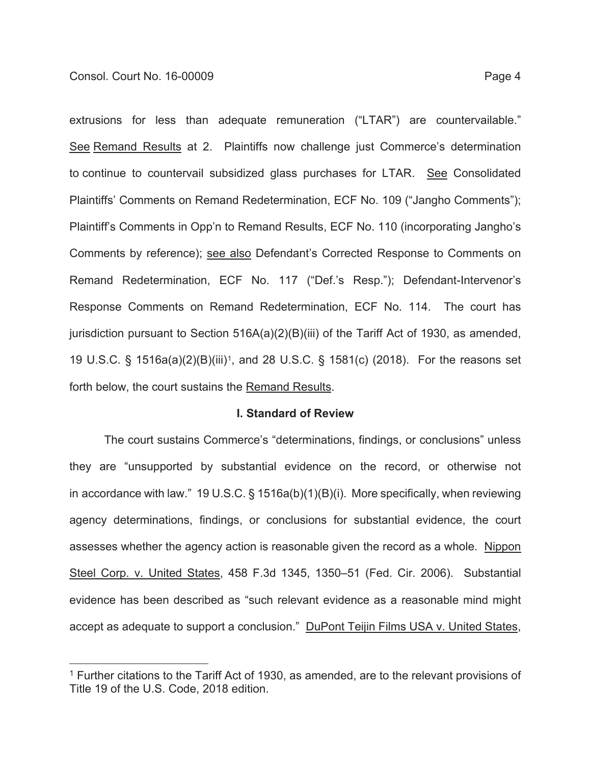extrusions for less than adequate remuneration ("LTAR") are countervailable."

See Remand Results at 2. Plaintiffs now challenge just Commerce's determination to continue to countervail subsidized glass purchases for LTAR. See Consolidated Plaintiffs' Comments on Remand Redetermination, ECF No. 109 ("Jangho Comments"); Plaintiff's Comments in Opp'n to Remand Results, ECF No. 110 (incorporating Jangho's Comments by reference); see also Defendant's Corrected Response to Comments on Remand Redetermination, ECF No. 117 ("Def.'s Resp."); Defendant-Intervenor's Response Comments on Remand Redetermination, ECF No. 114. The court has jurisdiction pursuant to Section 516A(a)(2)(B)(iii) of the Tariff Act of 1930, as amended, 19 U.S.C. § 1516a(a)(2)(B)(iii)1, and 28 U.S.C. § 1581(c) (2018). For the reasons set forth below, the court sustains the Remand Results.

#### **I. Standard of Review**

The court sustains Commerce's "determinations, findings, or conclusions" unless they are "unsupported by substantial evidence on the record, or otherwise not in accordance with law." 19 U.S.C. § 1516a(b)(1)(B)(i). More specifically, when reviewing agency determinations, findings, or conclusions for substantial evidence, the court assesses whether the agency action is reasonable given the record as a whole. Nippon Steel Corp. v. United States, 458 F.3d 1345, 1350–51 (Fed. Cir. 2006). Substantial evidence has been described as "such relevant evidence as a reasonable mind might accept as adequate to support a conclusion." DuPont Teijin Films USA v. United States,

<sup>&</sup>lt;sup>1</sup> Further citations to the Tariff Act of 1930, as amended, are to the relevant provisions of Title 19 of the U.S. Code, 2018 edition.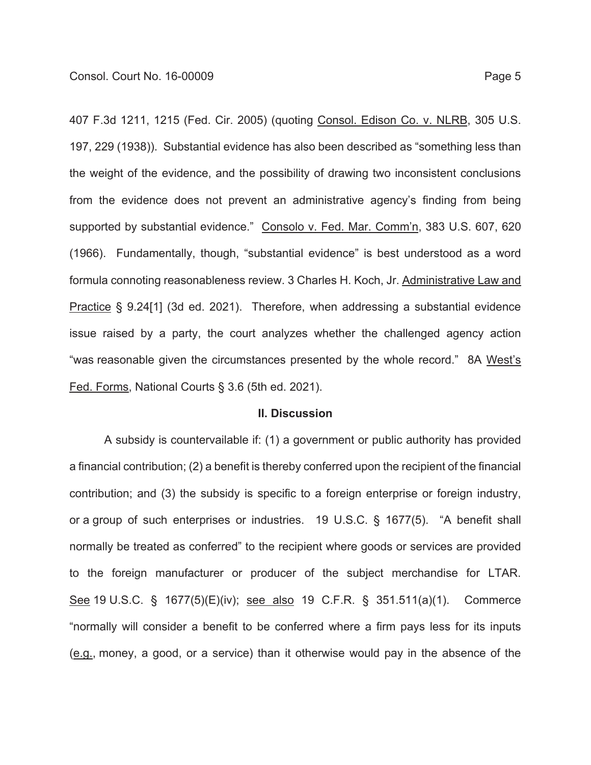407 F.3d 1211, 1215 (Fed. Cir. 2005) (quoting Consol. Edison Co. v. NLRB, 305 U.S. 197, 229 (1938)). Substantial evidence has also been described as "something less than the weight of the evidence, and the possibility of drawing two inconsistent conclusions from the evidence does not prevent an administrative agency's finding from being supported by substantial evidence." Consolo v. Fed. Mar. Comm'n, 383 U.S. 607, 620 (1966). Fundamentally, though, "substantial evidence" is best understood as a word formula connoting reasonableness review. 3 Charles H. Koch, Jr. Administrative Law and Practice § 9.24[1] (3d ed. 2021). Therefore, when addressing a substantial evidence issue raised by a party, the court analyzes whether the challenged agency action "was reasonable given the circumstances presented by the whole record." 8A West's Fed. Forms, National Courts § 3.6 (5th ed. 2021).

#### **II. Discussion**

A subsidy is countervailable if: (1) a government or public authority has provided a financial contribution; (2) a benefit is thereby conferred upon the recipient of the financial contribution; and (3) the subsidy is specific to a foreign enterprise or foreign industry, or a group of such enterprises or industries. 19 U.S.C. § 1677(5). "A benefit shall normally be treated as conferred" to the recipient where goods or services are provided to the foreign manufacturer or producer of the subject merchandise for LTAR. See 19 U.S.C. § 1677(5)(E)(iv); see also 19 C.F.R. § 351.511(a)(1). Commerce "normally will consider a benefit to be conferred where a firm pays less for its inputs (e.g., money, a good, or a service) than it otherwise would pay in the absence of the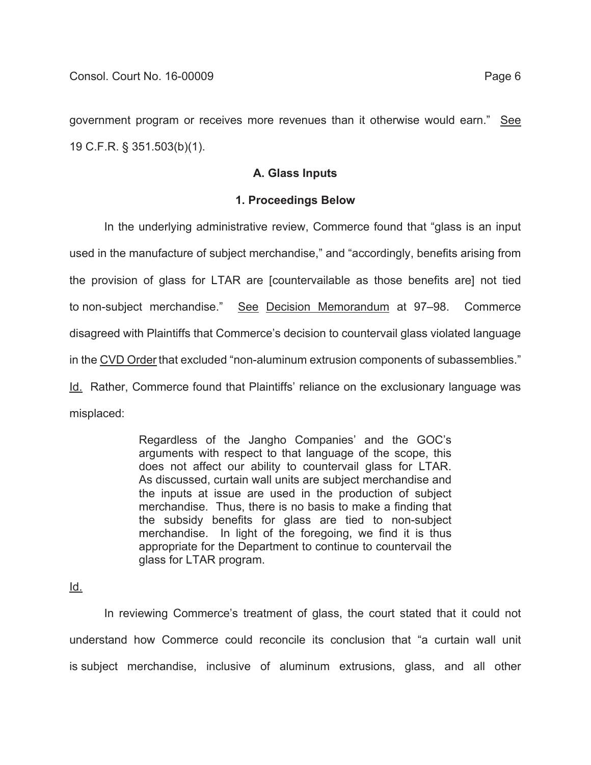government program or receives more revenues than it otherwise would earn." See 19 C.F.R. § 351.503(b)(1).

### **A. Glass Inputs**

## **1. Proceedings Below**

In the underlying administrative review, Commerce found that "glass is an input used in the manufacture of subject merchandise," and "accordingly, benefits arising from the provision of glass for LTAR are [countervailable as those benefits are] not tied to non-subject merchandise." See Decision Memorandum at 97-98. Commerce disagreed with Plaintiffs that Commerce's decision to countervail glass violated language in the CVD Order that excluded "non-aluminum extrusion components of subassemblies." Id. Rather, Commerce found that Plaintiffs' reliance on the exclusionary language was misplaced:

> Regardless of the Jangho Companies' and the GOC's arguments with respect to that language of the scope, this does not affect our ability to countervail glass for LTAR. As discussed, curtain wall units are subject merchandise and the inputs at issue are used in the production of subject merchandise. Thus, there is no basis to make a finding that the subsidy benefits for glass are tied to non-subject merchandise. In light of the foregoing, we find it is thus appropriate for the Department to continue to countervail the glass for LTAR program.

Id.

In reviewing Commerce's treatment of glass, the court stated that it could not understand how Commerce could reconcile its conclusion that "a curtain wall unit is subject merchandise, inclusive of aluminum extrusions, glass, and all other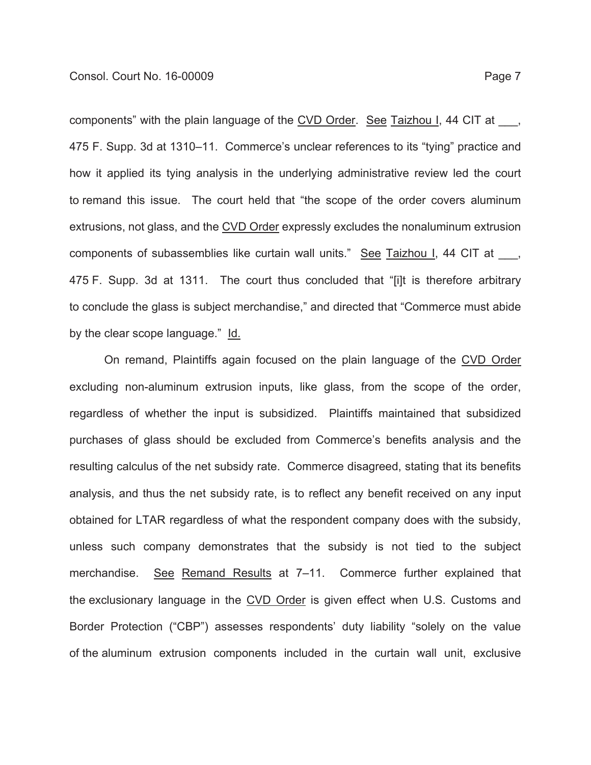components" with the plain language of the CVD Order. See Taizhou I, 44 CIT at 475 F. Supp. 3d at 1310–11. Commerce's unclear references to its "tying" practice and how it applied its tying analysis in the underlying administrative review led the court to remand this issue. The court held that "the scope of the order covers aluminum extrusions, not glass, and the CVD Order expressly excludes the nonaluminum extrusion components of subassemblies like curtain wall units." See Taizhou I, 44 CIT at \_\_\_, 475 F. Supp. 3d at 1311. The court thus concluded that "[i]t is therefore arbitrary to conclude the glass is subject merchandise," and directed that "Commerce must abide by the clear scope language." Id.

On remand, Plaintiffs again focused on the plain language of the CVD Order excluding non-aluminum extrusion inputs, like glass, from the scope of the order, regardless of whether the input is subsidized. Plaintiffs maintained that subsidized purchases of glass should be excluded from Commerce's benefits analysis and the resulting calculus of the net subsidy rate. Commerce disagreed, stating that its benefits analysis, and thus the net subsidy rate, is to reflect any benefit received on any input obtained for LTAR regardless of what the respondent company does with the subsidy, unless such company demonstrates that the subsidy is not tied to the subject merchandise. See Remand Results at 7-11. Commerce further explained that the exclusionary language in the CVD Order is given effect when U.S. Customs and Border Protection ("CBP") assesses respondents' duty liability "solely on the value of the aluminum extrusion components included in the curtain wall unit, exclusive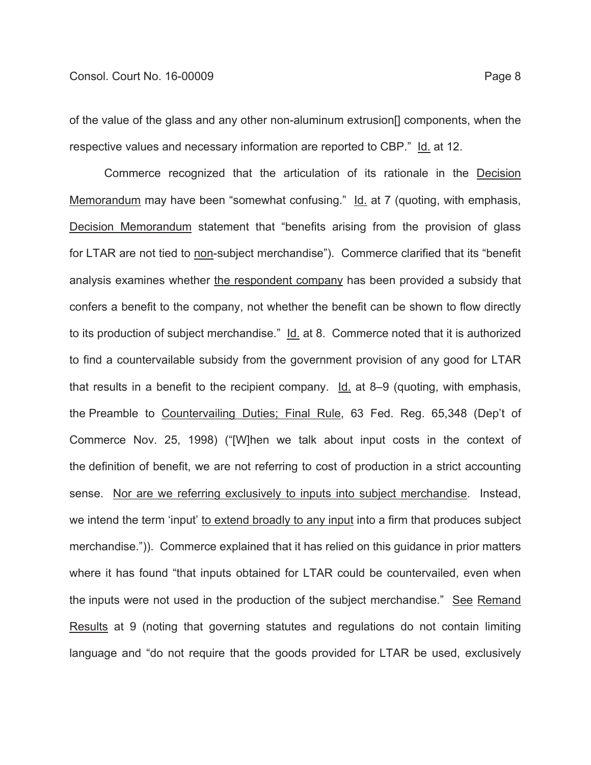of the value of the glass and any other non-aluminum extrusion[] components, when the respective values and necessary information are reported to CBP." Id. at 12.

Commerce recognized that the articulation of its rationale in the Decision Memorandum may have been "somewhat confusing." Id. at 7 (quoting, with emphasis, Decision Memorandum statement that "benefits arising from the provision of glass for LTAR are not tied to non-subject merchandise"). Commerce clarified that its "benefit analysis examines whether the respondent company has been provided a subsidy that confers a benefit to the company, not whether the benefit can be shown to flow directly to its production of subject merchandise." Id. at 8. Commerce noted that it is authorized to find a countervailable subsidy from the government provision of any good for LTAR that results in a benefit to the recipient company. Id. at 8–9 (quoting, with emphasis, the Preamble to Countervailing Duties; Final Rule, 63 Fed. Reg. 65,348 (Dep't of Commerce Nov. 25, 1998) ("[W]hen we talk about input costs in the context of the definition of benefit, we are not referring to cost of production in a strict accounting sense. Nor are we referring exclusively to inputs into subject merchandise. Instead, we intend the term 'input' to extend broadly to any input into a firm that produces subject merchandise.")). Commerce explained that it has relied on this guidance in prior matters where it has found "that inputs obtained for LTAR could be countervailed, even when the inputs were not used in the production of the subject merchandise." See Remand Results at 9 (noting that governing statutes and regulations do not contain limiting language and "do not require that the goods provided for LTAR be used, exclusively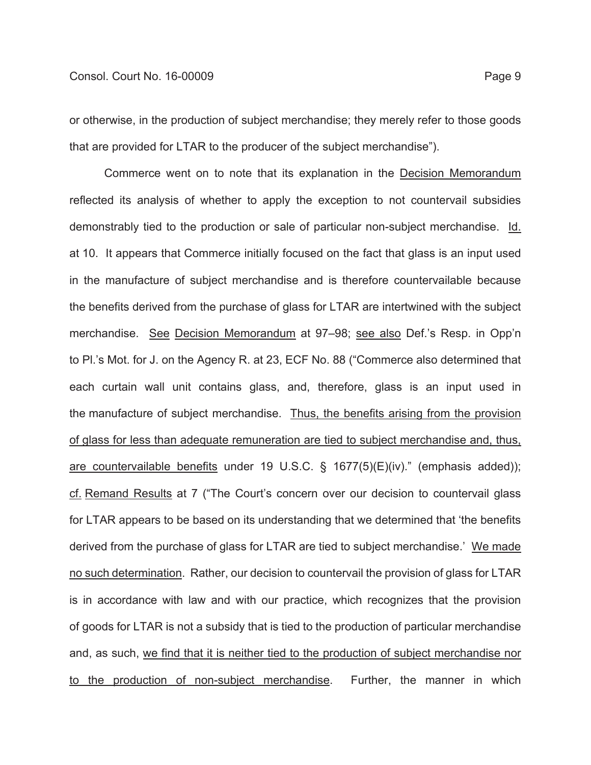or otherwise, in the production of subject merchandise; they merely refer to those goods that are provided for LTAR to the producer of the subject merchandise").

Commerce went on to note that its explanation in the Decision Memorandum reflected its analysis of whether to apply the exception to not countervail subsidies demonstrably tied to the production or sale of particular non-subject merchandise. Id. at 10. It appears that Commerce initially focused on the fact that glass is an input used in the manufacture of subject merchandise and is therefore countervailable because the benefits derived from the purchase of glass for LTAR are intertwined with the subject merchandise. See Decision Memorandum at 97–98; see also Def.'s Resp. in Opp'n to Pl.'s Mot. for J. on the Agency R. at 23, ECF No. 88 ("Commerce also determined that each curtain wall unit contains glass, and, therefore, glass is an input used in the manufacture of subject merchandise. Thus, the benefits arising from the provision of glass for less than adequate remuneration are tied to subject merchandise and, thus, are countervailable benefits under 19 U.S.C. § 1677(5)(E)(iv)." (emphasis added)); cf. Remand Results at 7 ("The Court's concern over our decision to countervail glass for LTAR appears to be based on its understanding that we determined that 'the benefits derived from the purchase of glass for LTAR are tied to subject merchandise.' We made no such determination. Rather, our decision to countervail the provision of glass for LTAR is in accordance with law and with our practice, which recognizes that the provision of goods for LTAR is not a subsidy that is tied to the production of particular merchandise and, as such, we find that it is neither tied to the production of subject merchandise nor to the production of non-subject merchandise. Further, the manner in which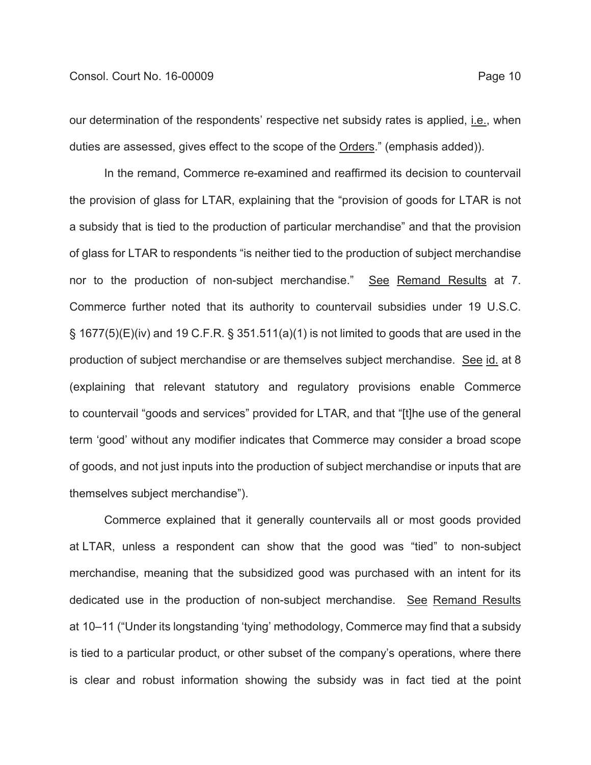our determination of the respondents' respective net subsidy rates is applied, i.e., when duties are assessed, gives effect to the scope of the Orders." (emphasis added)).

In the remand, Commerce re-examined and reaffirmed its decision to countervail the provision of glass for LTAR, explaining that the "provision of goods for LTAR is not a subsidy that is tied to the production of particular merchandise" and that the provision of glass for LTAR to respondents "is neither tied to the production of subject merchandise nor to the production of non-subject merchandise." See Remand Results at 7. Commerce further noted that its authority to countervail subsidies under 19 U.S.C.  $\S$  1677(5)(E)(iv) and 19 C.F.R.  $\S$  351.511(a)(1) is not limited to goods that are used in the production of subject merchandise or are themselves subject merchandise. See id. at 8 (explaining that relevant statutory and regulatory provisions enable Commerce to countervail "goods and services" provided for LTAR, and that "[t]he use of the general term 'good' without any modifier indicates that Commerce may consider a broad scope of goods, and not just inputs into the production of subject merchandise or inputs that are themselves subject merchandise").

Commerce explained that it generally countervails all or most goods provided at LTAR, unless a respondent can show that the good was "tied" to non-subject merchandise, meaning that the subsidized good was purchased with an intent for its dedicated use in the production of non-subject merchandise. See Remand Results at 10–11 ("Under its longstanding 'tying' methodology, Commerce may find that a subsidy is tied to a particular product, or other subset of the company's operations, where there is clear and robust information showing the subsidy was in fact tied at the point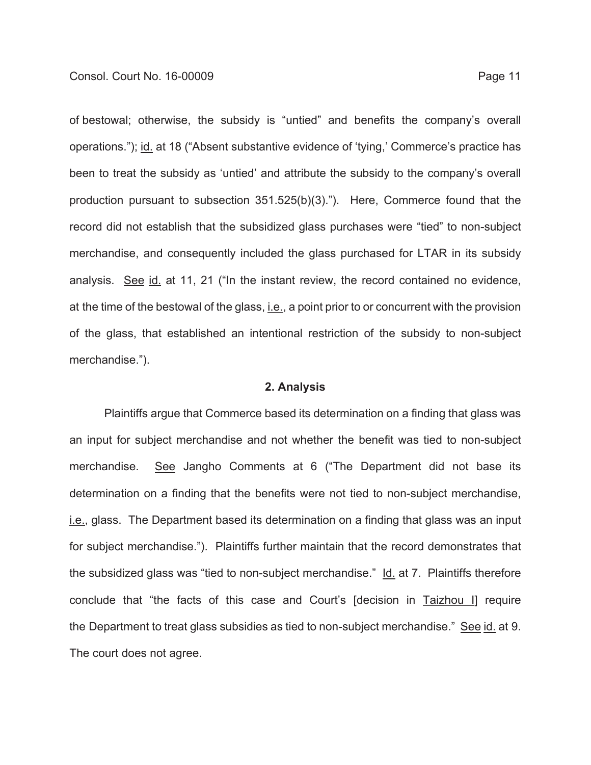of bestowal; otherwise, the subsidy is "untied" and benefits the company's overall operations."); id. at 18 ("Absent substantive evidence of 'tying,' Commerce's practice has been to treat the subsidy as 'untied' and attribute the subsidy to the company's overall production pursuant to subsection 351.525(b)(3)."). Here, Commerce found that the record did not establish that the subsidized glass purchases were "tied" to non-subject merchandise, and consequently included the glass purchased for LTAR in its subsidy analysis. See id. at 11, 21 ("In the instant review, the record contained no evidence, at the time of the bestowal of the glass, *i.e.*, a point prior to or concurrent with the provision of the glass, that established an intentional restriction of the subsidy to non-subject

merchandise.").

#### **2. Analysis**

Plaintiffs argue that Commerce based its determination on a finding that glass was an input for subject merchandise and not whether the benefit was tied to non-subject merchandise. See Jangho Comments at 6 ("The Department did not base its determination on a finding that the benefits were not tied to non-subject merchandise, i.e., glass. The Department based its determination on a finding that glass was an input for subject merchandise."). Plaintiffs further maintain that the record demonstrates that the subsidized glass was "tied to non-subject merchandise." Id. at 7. Plaintiffs therefore conclude that "the facts of this case and Court's [decision in Taizhou I] require the Department to treat glass subsidies as tied to non-subject merchandise." See id. at 9. The court does not agree.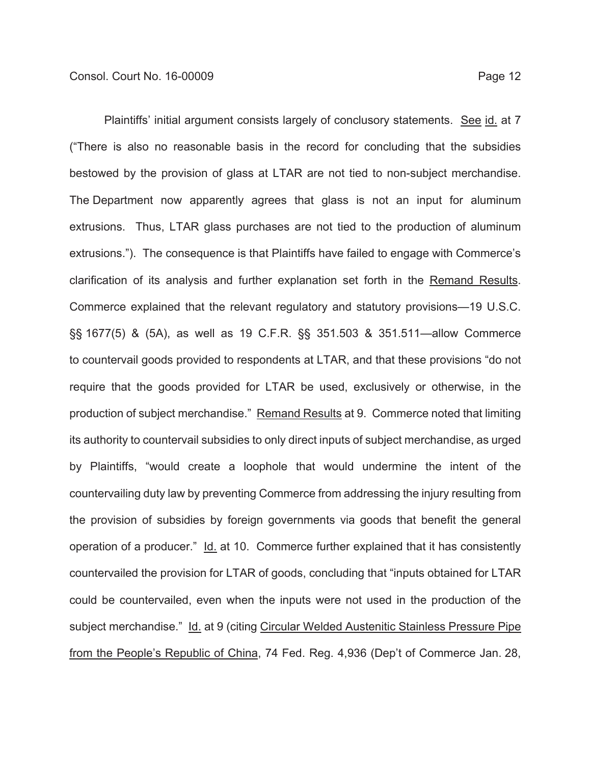Plaintiffs' initial argument consists largely of conclusory statements. See id. at 7 ("There is also no reasonable basis in the record for concluding that the subsidies bestowed by the provision of glass at LTAR are not tied to non-subject merchandise. The Department now apparently agrees that glass is not an input for aluminum extrusions. Thus, LTAR glass purchases are not tied to the production of aluminum extrusions."). The consequence is that Plaintiffs have failed to engage with Commerce's clarification of its analysis and further explanation set forth in the Remand Results. Commerce explained that the relevant regulatory and statutory provisions—19 U.S.C. §§ 1677(5) & (5A), as well as 19 C.F.R. §§ 351.503 & 351.511—allow Commerce to countervail goods provided to respondents at LTAR, and that these provisions "do not require that the goods provided for LTAR be used, exclusively or otherwise, in the production of subject merchandise." Remand Results at 9. Commerce noted that limiting its authority to countervail subsidies to only direct inputs of subject merchandise, as urged by Plaintiffs, "would create a loophole that would undermine the intent of the countervailing duty law by preventing Commerce from addressing the injury resulting from the provision of subsidies by foreign governments via goods that benefit the general operation of a producer." Id. at 10. Commerce further explained that it has consistently countervailed the provision for LTAR of goods, concluding that "inputs obtained for LTAR could be countervailed, even when the inputs were not used in the production of the subject merchandise." Id. at 9 (citing Circular Welded Austenitic Stainless Pressure Pipe from the People's Republic of China, 74 Fed. Reg. 4,936 (Dep't of Commerce Jan. 28,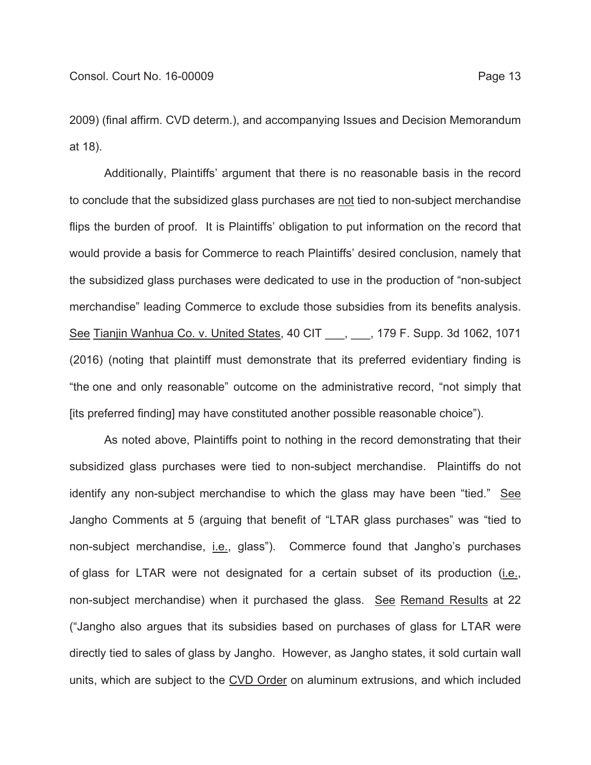2009) (final affirm. CVD determ.), and accompanying Issues and Decision Memorandum at 18).

Additionally, Plaintiffs' argument that there is no reasonable basis in the record to conclude that the subsidized glass purchases are not tied to non-subject merchandise flips the burden of proof. It is Plaintiffs' obligation to put information on the record that would provide a basis for Commerce to reach Plaintiffs' desired conclusion, namely that the subsidized glass purchases were dedicated to use in the production of "non-subject merchandise" leading Commerce to exclude those subsidies from its benefits analysis. See Tianjin Wanhua Co. v. United States, 40 CIT \_\_\_, \_\_\_, 179 F. Supp. 3d 1062, 1071 (2016) (noting that plaintiff must demonstrate that its preferred evidentiary finding is "the one and only reasonable" outcome on the administrative record, "not simply that [its preferred finding] may have constituted another possible reasonable choice").

As noted above, Plaintiffs point to nothing in the record demonstrating that their subsidized glass purchases were tied to non-subject merchandise. Plaintiffs do not identify any non-subject merchandise to which the glass may have been "tied." See Jangho Comments at 5 (arguing that benefit of "LTAR glass purchases" was "tied to non-subject merchandise, i.e., glass"). Commerce found that Jangho's purchases of glass for LTAR were not designated for a certain subset of its production (*i.e.*, non-subject merchandise) when it purchased the glass. See Remand Results at 22 ("Jangho also argues that its subsidies based on purchases of glass for LTAR were directly tied to sales of glass by Jangho. However, as Jangho states, it sold curtain wall units, which are subject to the CVD Order on aluminum extrusions, and which included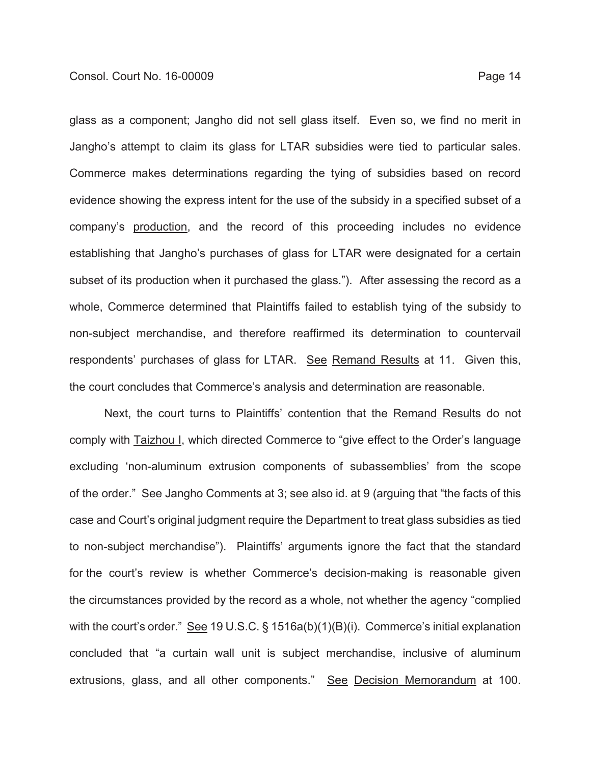glass as a component; Jangho did not sell glass itself. Even so, we find no merit in Jangho's attempt to claim its glass for LTAR subsidies were tied to particular sales. Commerce makes determinations regarding the tying of subsidies based on record evidence showing the express intent for the use of the subsidy in a specified subset of a company's production, and the record of this proceeding includes no evidence establishing that Jangho's purchases of glass for LTAR were designated for a certain subset of its production when it purchased the glass."). After assessing the record as a whole, Commerce determined that Plaintiffs failed to establish tying of the subsidy to non-subject merchandise, and therefore reaffirmed its determination to countervail respondents' purchases of glass for LTAR. See Remand Results at 11. Given this,

the court concludes that Commerce's analysis and determination are reasonable.

Next, the court turns to Plaintiffs' contention that the Remand Results do not comply with Taizhou I, which directed Commerce to "give effect to the Order's language excluding 'non-aluminum extrusion components of subassemblies' from the scope of the order." See Jangho Comments at 3; see also id. at 9 (arguing that "the facts of this case and Court's original judgment require the Department to treat glass subsidies as tied to non-subject merchandise"). Plaintiffs' arguments ignore the fact that the standard for the court's review is whether Commerce's decision-making is reasonable given the circumstances provided by the record as a whole, not whether the agency "complied with the court's order." See 19 U.S.C. § 1516a(b)(1)(B)(i). Commerce's initial explanation concluded that "a curtain wall unit is subject merchandise, inclusive of aluminum extrusions, glass, and all other components." See Decision Memorandum at 100.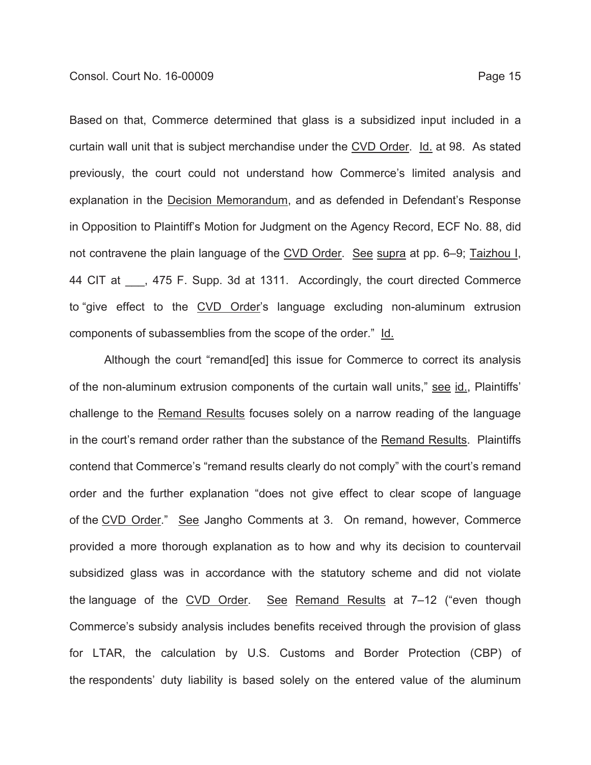Based on that, Commerce determined that glass is a subsidized input included in a curtain wall unit that is subject merchandise under the CVD Order. Id. at 98. As stated previously, the court could not understand how Commerce's limited analysis and explanation in the Decision Memorandum, and as defended in Defendant's Response in Opposition to Plaintiff's Motion for Judgment on the Agency Record, ECF No. 88, did not contravene the plain language of the CVD Order. See supra at pp. 6–9; Taizhou I, 44 CIT at  $\phantom{0}$ , 475 F. Supp. 3d at 1311. Accordingly, the court directed Commerce to "give effect to the CVD Order's language excluding non-aluminum extrusion components of subassemblies from the scope of the order." Id.

Although the court "remand[ed] this issue for Commerce to correct its analysis of the non-aluminum extrusion components of the curtain wall units," see id., Plaintiffs' challenge to the Remand Results focuses solely on a narrow reading of the language in the court's remand order rather than the substance of the Remand Results. Plaintiffs contend that Commerce's "remand results clearly do not comply" with the court's remand order and the further explanation "does not give effect to clear scope of language of the CVD Order." See Jangho Comments at 3. On remand, however, Commerce provided a more thorough explanation as to how and why its decision to countervail subsidized glass was in accordance with the statutory scheme and did not violate the language of the CVD Order. See Remand Results at 7-12 ("even though Commerce's subsidy analysis includes benefits received through the provision of glass for LTAR, the calculation by U.S. Customs and Border Protection (CBP) of the respondents' duty liability is based solely on the entered value of the aluminum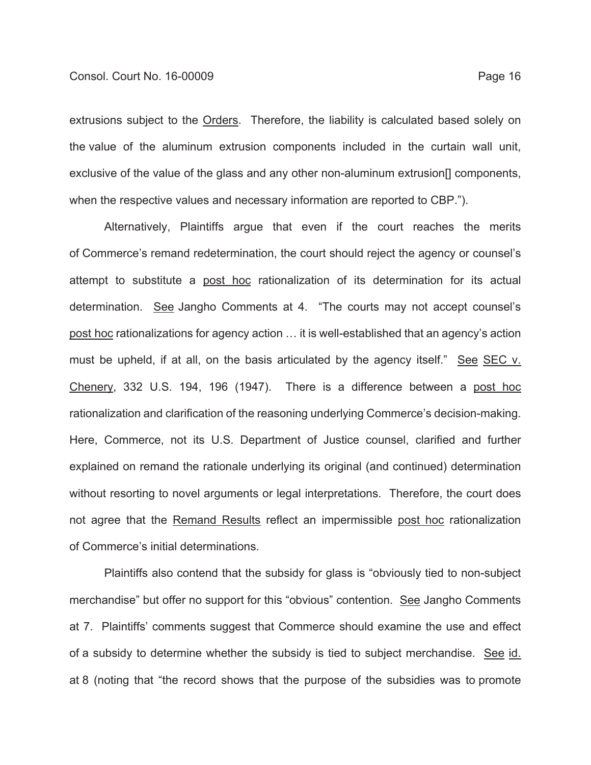extrusions subject to the Orders. Therefore, the liability is calculated based solely on the value of the aluminum extrusion components included in the curtain wall unit, exclusive of the value of the glass and any other non-aluminum extrusion[] components, when the respective values and necessary information are reported to CBP.").

Alternatively, Plaintiffs argue that even if the court reaches the merits of Commerce's remand redetermination, the court should reject the agency or counsel's attempt to substitute a post hoc rationalization of its determination for its actual determination. See Jangho Comments at 4. "The courts may not accept counsel's post hoc rationalizations for agency action … it is well-established that an agency's action must be upheld, if at all, on the basis articulated by the agency itself." See SEC v. Chenery, 332 U.S. 194, 196 (1947). There is a difference between a post hoc rationalization and clarification of the reasoning underlying Commerce's decision-making. Here, Commerce, not its U.S. Department of Justice counsel, clarified and further explained on remand the rationale underlying its original (and continued) determination without resorting to novel arguments or legal interpretations. Therefore, the court does not agree that the Remand Results reflect an impermissible post hoc rationalization of Commerce's initial determinations.

Plaintiffs also contend that the subsidy for glass is "obviously tied to non-subject merchandise" but offer no support for this "obvious" contention. See Jangho Comments at 7. Plaintiffs' comments suggest that Commerce should examine the use and effect of a subsidy to determine whether the subsidy is tied to subject merchandise. See id. at 8 (noting that "the record shows that the purpose of the subsidies was to promote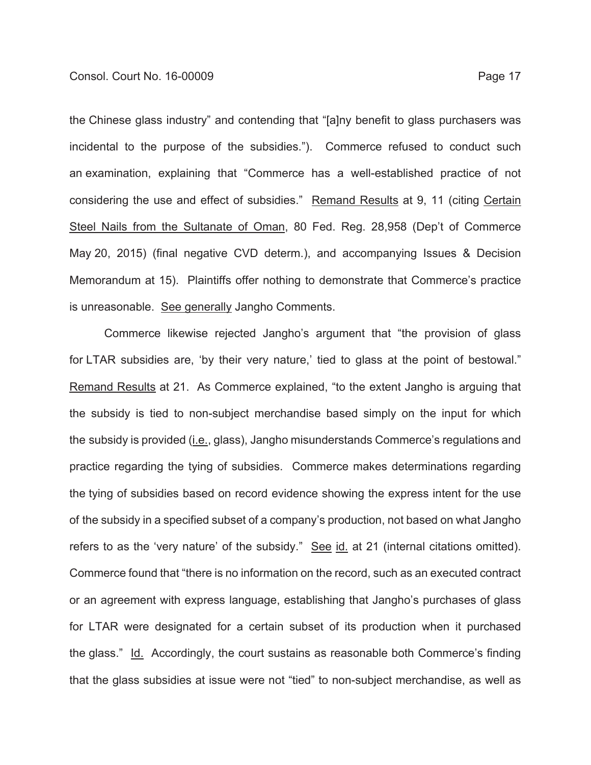the Chinese glass industry" and contending that "[a]ny benefit to glass purchasers was incidental to the purpose of the subsidies."). Commerce refused to conduct such an examination, explaining that "Commerce has a well-established practice of not considering the use and effect of subsidies." Remand Results at 9, 11 (citing Certain Steel Nails from the Sultanate of Oman, 80 Fed. Reg. 28,958 (Dep't of Commerce May 20, 2015) (final negative CVD determ.), and accompanying Issues & Decision Memorandum at 15). Plaintiffs offer nothing to demonstrate that Commerce's practice is unreasonable. See generally Jangho Comments.

Commerce likewise rejected Jangho's argument that "the provision of glass for LTAR subsidies are, 'by their very nature,' tied to glass at the point of bestowal." Remand Results at 21. As Commerce explained, "to the extent Jangho is arguing that the subsidy is tied to non-subject merchandise based simply on the input for which the subsidy is provided (*i.e., glass*), Jangho misunderstands Commerce's regulations and practice regarding the tying of subsidies. Commerce makes determinations regarding the tying of subsidies based on record evidence showing the express intent for the use of the subsidy in a specified subset of a company's production, not based on what Jangho refers to as the 'very nature' of the subsidy." See id. at 21 (internal citations omitted). Commerce found that "there is no information on the record, such as an executed contract or an agreement with express language, establishing that Jangho's purchases of glass for LTAR were designated for a certain subset of its production when it purchased the glass." Id. Accordingly, the court sustains as reasonable both Commerce's finding that the glass subsidies at issue were not "tied" to non-subject merchandise, as well as